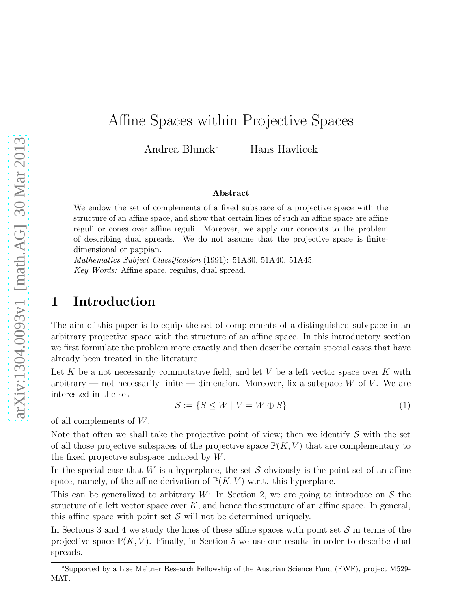# Affine Spaces within Projective Spaces

Andrea Blunck<sup>∗</sup> Hans Havlicek

#### Abstract

We endow the set of complements of a fixed subspace of a projective space with the structure of an affine space, and show that certain lines of such an affine space are affine reguli or cones over affine reguli. Moreover, we apply our concepts to the problem of describing dual spreads. We do not assume that the projective space is finitedimensional or pappian.

*Mathematics Subject Classification* (1991): 51A30, 51A40, 51A45. *Key Words:* Affine space, regulus, dual spread.

# 1 Introduction

The aim of this paper is to equip the set of complements of a distinguished subspace in an arbitrary projective space with the structure of an affine space. In this introductory section we first formulate the problem more exactly and then describe certain special cases that have already been treated in the literature.

Let K be a not necessarily commutative field, and let V be a left vector space over K with arbitrary — not necessarily finite — dimension. Moreover, fix a subspace  $W$  of  $V$ . We are interested in the set

$$
\mathcal{S} := \{ S \le W \mid V = W \oplus S \}
$$
 (1)

of all complements of W.

Note that often we shall take the projective point of view; then we identify  $S$  with the set of all those projective subspaces of the projective space  $\mathbb{P}(K, V)$  that are complementary to the fixed projective subspace induced by W.

In the special case that W is a hyperplane, the set  $S$  obviously is the point set of an affine space, namely, of the affine derivation of  $\mathbb{P}(K, V)$  w.r.t. this hyperplane.

This can be generalized to arbitrary  $W$ : In Section 2, we are going to introduce on  $S$  the structure of a left vector space over  $K$ , and hence the structure of an affine space. In general, this affine space with point set  $S$  will not be determined uniquely.

In Sections 3 and 4 we study the lines of these affine spaces with point set  $S$  in terms of the projective space  $\mathbb{P}(K, V)$ . Finally, in Section 5 we use our results in order to describe dual spreads.

<sup>∗</sup>Supported by a Lise Meitner Research Fellowship of the Austrian Science Fund (FWF), project M529- MAT.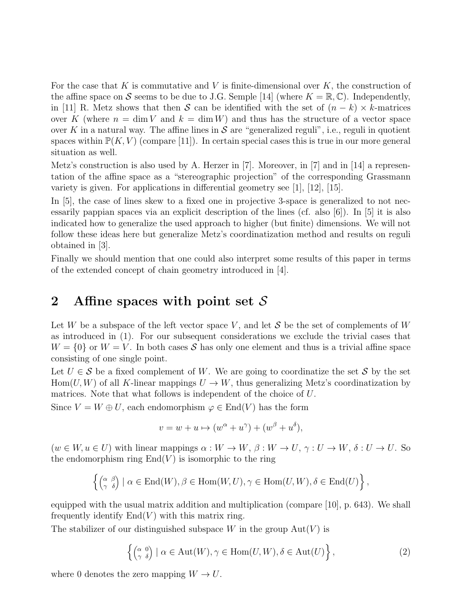For the case that K is commutative and V is finite-dimensional over  $K$ , the construction of the affine space on S seems to be due to J.G. Semple [14] (where  $K = \mathbb{R}, \mathbb{C}$ ). Independently, in [11] R. Metz shows that then S can be identified with the set of  $(n - k) \times k$ -matrices over K (where  $n = \dim V$  and  $k = \dim W$ ) and thus has the structure of a vector space over K in a natural way. The affine lines in S are "generalized reguli", i.e., reguli in quotient spaces within  $\mathbb{P}(K, V)$  (compare [11]). In certain special cases this is true in our more general situation as well.

Metz's construction is also used by A. Herzer in [7]. Moreover, in [7] and in [14] a representation of the affine space as a "stereographic projection" of the corresponding Grassmann variety is given. For applications in differential geometry see  $[1]$ ,  $[12]$ ,  $[15]$ .

In [5], the case of lines skew to a fixed one in projective 3-space is generalized to not necessarily pappian spaces via an explicit description of the lines (cf. also [6]). In [5] it is also indicated how to generalize the used approach to higher (but finite) dimensions. We will not follow these ideas here but generalize Metz's coordinatization method and results on reguli obtained in [3].

Finally we should mention that one could also interpret some results of this paper in terms of the extended concept of chain geometry introduced in [4].

# 2 Affine spaces with point set  $S$

Let W be a subspace of the left vector space V, and let S be the set of complements of W as introduced in (1). For our subsequent considerations we exclude the trivial cases that  $W = \{0\}$  or  $W = V$ . In both cases S has only one element and thus is a trivial affine space consisting of one single point.

Let  $U \in \mathcal{S}$  be a fixed complement of W. We are going to coordinatize the set  $\mathcal{S}$  by the set  $Hom(U, W)$  of all K-linear mappings  $U \to W$ , thus generalizing Metz's coordinatization by matrices. Note that what follows is independent of the choice of U.

Since  $V = W \oplus U$ , each endomorphism  $\varphi \in \text{End}(V)$  has the form

$$
v = w + u \mapsto (w^{\alpha} + u^{\gamma}) + (w^{\beta} + u^{\delta}),
$$

 $(w \in W, u \in U)$  with linear mappings  $\alpha: W \to W, \beta: W \to U, \gamma: U \to W, \delta: U \to U$ . So the endomorphism ring  $End(V)$  is isomorphic to the ring

$$
\left\{ \left( \begin{smallmatrix} \alpha & \beta \\ \gamma & \delta \end{smallmatrix} \right) \mid \alpha \in \text{End}(W), \beta \in \text{Hom}(W, U), \gamma \in \text{Hom}(U, W), \delta \in \text{End}(U) \right\},\
$$

equipped with the usual matrix addition and multiplication (compare [10], p. 643). We shall frequently identify  $End(V)$  with this matrix ring.

The stabilizer of our distinguished subspace W in the group  $Aut(V)$  is

$$
\left\{ \begin{pmatrix} \alpha & 0 \\ \gamma & \delta \end{pmatrix} \mid \alpha \in \text{Aut}(W), \gamma \in \text{Hom}(U, W), \delta \in \text{Aut}(U) \right\},\tag{2}
$$

where 0 denotes the zero mapping  $W \to U$ .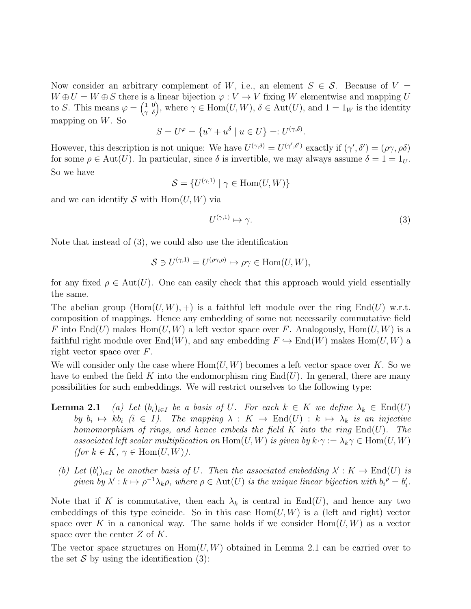Now consider an arbitrary complement of W, i.e., an element  $S \in \mathcal{S}$ . Because of  $V =$  $W \oplus U = W \oplus S$  there is a linear bijection  $\varphi : V \to V$  fixing W elementwise and mapping U to S. This means  $\varphi = \begin{pmatrix} 1 & 0 \\ \gamma & \delta \end{pmatrix}$ , where  $\gamma \in \text{Hom}(U, W)$ ,  $\delta \in \text{Aut}(U)$ , and  $1 = 1_W$  is the identity mapping on  $W$ . So

$$
S=U^{\varphi}=\{u^{\gamma}+u^{\delta}\mid u\in U\}=:U^{(\gamma,\delta)}.
$$

However, this description is not unique: We have  $U^{(\gamma,\delta)} = U^{(\gamma',\delta')}$  exactly if  $(\gamma',\delta') = (\rho\gamma,\rho\delta)$ for some  $\rho \in \text{Aut}(U)$ . In particular, since  $\delta$  is invertible, we may always assume  $\delta = 1 = 1_U$ . So we have

$$
\mathcal{S} = \{ U^{(\gamma,1)} \mid \gamma \in \text{Hom}(U,W) \}
$$

and we can identify S with  $\text{Hom}(U, W)$  via

$$
U^{(\gamma,1)} \mapsto \gamma. \tag{3}
$$

Note that instead of (3), we could also use the identification

$$
S \ni U^{(\gamma,1)} = U^{(\rho \gamma,\rho)} \mapsto \rho \gamma \in \text{Hom}(U,W),
$$

for any fixed  $\rho \in Aut(U)$ . One can easily check that this approach would yield essentially the same.

The abelian group  $(Hom(U, W), +)$  is a faithful left module over the ring End(U) w.r.t. composition of mappings. Hence any embedding of some not necessarily commutative field F into End(U) makes Hom(U, W) a left vector space over F. Analogously, Hom(U, W) is a faithful right module over  $End(W)$ , and any embedding  $F \hookrightarrow End(W)$  makes  $Hom(U, W)$  a right vector space over F.

We will consider only the case where  $Hom(U, W)$  becomes a left vector space over K. So we have to embed the field K into the endomorphism ring  $\text{End}(U)$ . In general, there are many possibilities for such embeddings. We will restrict ourselves to the following type:

- **Lemma 2.1** (a) Let  $(b_i)_{i\in I}$  be a basis of U. For each  $k \in K$  we define  $\lambda_k \in End(U)$ by  $b_i \mapsto kb_i$   $(i \in I)$ . The mapping  $\lambda: K \to \text{End}(U) : k \mapsto \lambda_k$  is an injective homomorphism of rings, and hence embeds the field  $K$  into the ring  $End(U)$ . The associated left scalar multiplication on  $\text{Hom}(U, W)$  is given by  $k \cdot \gamma := \lambda_k \gamma \in \text{Hom}(U, W)$ (for  $k \in K$ ,  $\gamma \in \text{Hom}(U, W)$ ).
	- (b) Let  $(b_i')$  $\mathcal{U}_i|_{i\in I}$  be another basis of U. Then the associated embedding  $\lambda' : K \to \text{End}(U)$  is given by  $\lambda' : k \mapsto \rho^{-1}\lambda_k\rho$ , where  $\rho \in \text{Aut}(U)$  is the unique linear bijection with  $b_i^{\rho} = b_i'$  $\frac{\prime}{i}$ .

Note that if K is commutative, then each  $\lambda_k$  is central in End(U), and hence any two embeddings of this type coincide. So in this case  $Hom(U, W)$  is a (left and right) vector space over K in a canonical way. The same holds if we consider  $Hom(U, W)$  as a vector space over the center  $Z$  of  $K$ .

The vector space structures on  $Hom(U, W)$  obtained in Lemma 2.1 can be carried over to the set  $S$  by using the identification (3):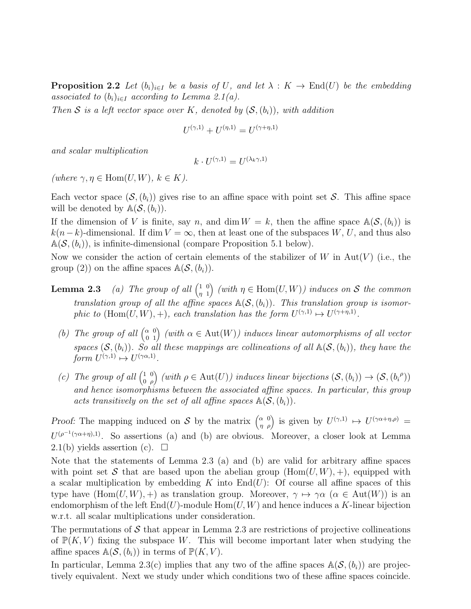**Proposition 2.2** Let  $(b_i)_{i\in I}$  be a basis of U, and let  $\lambda: K \to \text{End}(U)$  be the embedding associated to  $(b_i)_{i\in I}$  according to Lemma 2.1(a).

Then S is a left vector space over K, denoted by  $(\mathcal{S}, (b_i))$ , with addition

$$
U^{(\gamma,1)} + U^{(\eta,1)} = U^{(\gamma+\eta,1)}
$$

and scalar multiplication

$$
k \cdot U^{(\gamma,1)} = U^{(\lambda_k \gamma,1)}
$$

(where  $\gamma, \eta \in \text{Hom}(U, W)$ ,  $k \in K$ ).

Each vector space  $(\mathcal{S}, (b_i))$  gives rise to an affine space with point set S. This affine space will be denoted by  $\mathbb{A}(\mathcal{S},(b_i)).$ 

If the dimension of V is finite, say n, and dim  $W = k$ , then the affine space  $\mathbb{A}(\mathcal{S}, (b_i))$  is  $k(n-k)$ -dimensional. If dim  $V = \infty$ , then at least one of the subspaces W, U, and thus also  $A(S,(b_i))$ , is infinite-dimensional (compare Proposition 5.1 below).

Now we consider the action of certain elements of the stabilizer of W in Aut $(V)$  (i.e., the group (2)) on the affine spaces  $\mathbb{A}(\mathcal{S}, (b_i)).$ 

- **Lemma 2.3** (a) The group of all  $\begin{pmatrix} 1 & 0 \\ n & 1 \end{pmatrix}$ η 1 (with  $\eta \in \text{Hom}(U, W)$ ) induces on S the common translation group of all the affine spaces  $\mathbb{A}(\mathcal{S},(b_i))$ . This translation group is isomorphic to  $(\text{Hom}(U, W), +)$ , each translation has the form  $U^{(\gamma,1)} \mapsto U^{(\gamma+\eta,1)}$ .
	- (b) The group of all  $\begin{pmatrix} \alpha & 0 \\ 0 & 1 \end{pmatrix}$  (with  $\alpha \in \text{Aut}(W)$ ) induces linear automorphisms of all vector spaces  $(S,(b_i))$ . So all these mappings are collineations of all  $\mathbb{A}(S,(b_i))$ , they have the form  $U^{(\gamma,1)} \mapsto U^{(\gamma \alpha,1)}$ .
	- (c) The group of all  $\begin{pmatrix} 1 & 0 \\ 0 & 0 \end{pmatrix}$ 0 ρ (with  $\rho \in \text{Aut}(U)$ ) induces linear bijections  $(\mathcal{S}, (b_i)) \to (\mathcal{S}, (b_i^{\rho}))$ and hence isomorphisms between the associated affine spaces. In particular, this group acts transitively on the set of all affine spaces  $\mathbb{A}(\mathcal{S}, (b_i)).$

Proof: The mapping induced on S by the matrix  $\begin{pmatrix} \alpha & 0 \\ \eta & \rho \end{pmatrix}$  is given by  $U^{(\gamma,1)} \mapsto U^{(\gamma\alpha+\eta,\rho)} =$  $U^{(\rho^{-1}(\gamma\alpha+\eta),1)}$ . So assertions (a) and (b) are obvious. Moreover, a closer look at Lemma 2.1(b) yields assertion (c).  $\Box$ 

Note that the statements of Lemma 2.3 (a) and (b) are valid for arbitrary affine spaces with point set S that are based upon the abelian group  $(Hom(U, W), +)$ , equipped with a scalar multiplication by embedding K into  $End(U)$ : Of course all affine spaces of this type have  $(Hom(U, W), +)$  as translation group. Moreover,  $\gamma \mapsto \gamma \alpha$  ( $\alpha \in Aut(W)$ ) is an endomorphism of the left  $End(U)$ -module  $Hom(U, W)$  and hence induces a K-linear bijection w.r.t. all scalar multiplications under consideration.

The permutations of  $\mathcal S$  that appear in Lemma 2.3 are restrictions of projective collineations of  $\mathbb{P}(K, V)$  fixing the subspace W. This will become important later when studying the affine spaces  $\mathbb{A}(\mathcal{S}, (b_i))$  in terms of  $\mathbb{P}(K, V)$ .

In particular, Lemma 2.3(c) implies that any two of the affine spaces  $\mathbb{A}(\mathcal{S},(b_i))$  are projectively equivalent. Next we study under which conditions two of these affine spaces coincide.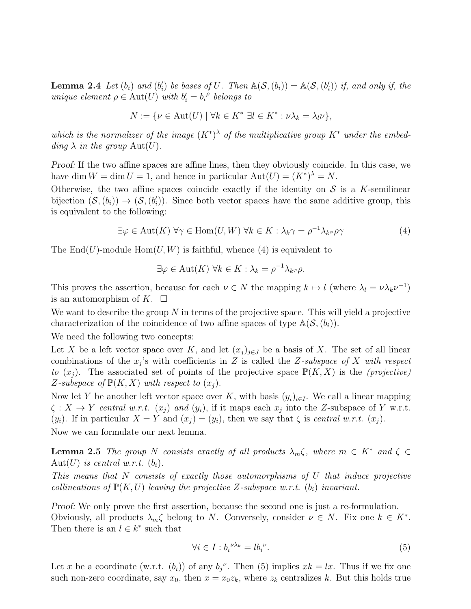**Lemma 2.4** Let  $(b_i)$  and  $(b'_i)$ (i) be bases of U. Then  $\mathbb{A}(\mathcal{S}, (b_i)) = \mathbb{A}(\mathcal{S}, (b_i')$  $\binom{r}{i}$ ) if, and only if, the unique element  $\rho \in \text{Aut}(U)$  with  $b'_i = b_i^{\rho}$  belongs to

$$
N := \{ \nu \in \text{Aut}(U) \mid \forall k \in K^* \; \exists l \in K^* : \nu \lambda_k = \lambda_l \nu \},
$$

which is the normalizer of the image  $(K^*)^{\lambda}$  of the multiplicative group  $K^*$  under the embedding  $\lambda$  in the group  $\text{Aut}(U)$ .

Proof: If the two affine spaces are affine lines, then they obviously coincide. In this case, we have dim  $W = \dim U = 1$ , and hence in particular  $\text{Aut}(U) = (K^*)^{\lambda} = N$ .

Otherwise, the two affine spaces coincide exactly if the identity on  $S$  is a K-semilinear bijection  $(S,(b_i)) \to (S,(b'_i))$  $\binom{1}{i}$ . Since both vector spaces have the same additive group, this is equivalent to the following:

$$
\exists \varphi \in \text{Aut}(K) \,\,\forall \gamma \in \text{Hom}(U, W) \,\,\forall k \in K: \lambda_k \gamma = \rho^{-1} \lambda_{k^{\varphi}} \rho \gamma \tag{4}
$$

The  $End(U)$ -module  $Hom(U, W)$  is faithful, whence (4) is equivalent to

$$
\exists \varphi \in \text{Aut}(K) \,\,\forall k \in K : \lambda_k = \rho^{-1} \lambda_{k} \varphi.
$$

This proves the assertion, because for each  $\nu \in N$  the mapping  $k \mapsto l$  (where  $\lambda_l = \nu \lambda_k \nu^{-1}$ ) is an automorphism of K.  $\Box$ 

We want to describe the group  $N$  in terms of the projective space. This will yield a projective characterization of the coincidence of two affine spaces of type  $\mathbb{A}(\mathcal{S}, (b_i)).$ 

We need the following two concepts:

Let X be a left vector space over K, and let  $(x_j)_{j\in J}$  be a basis of X. The set of all linear combinations of the  $x_j$ 's with coefficients in Z is called the Z-subspace of X with respect to  $(x_i)$ . The associated set of points of the projective space  $\mathbb{P}(K, X)$  is the *(projective)* Z-subspace of  $\mathbb{P}(K, X)$  with respect to  $(x_i)$ .

Now let Y be another left vector space over K, with basis  $(y_i)_{i\in I}$ . We call a linear mapping  $\zeta: X \to Y$  central w.r.t.  $(x_j)$  and  $(y_i)$ , if it maps each  $x_j$  into the Z-subspace of Y w.r.t.  $(y_i)$ . If in particular  $X = Y$  and  $(x_i) = (y_i)$ , then we say that  $\zeta$  is central w.r.t.  $(x_i)$ . Now we can formulate our next lemma.

**Lemma 2.5** The group N consists exactly of all products  $\lambda_m \zeta$ , where  $m \in K^*$  and  $\zeta \in$ Aut $(U)$  is central w.r.t.  $(b_i)$ .

This means that N consists of exactly those automorphisms of U that induce projective collineations of  $\mathbb{P}(K, U)$  leaving the projective Z-subspace w.r.t.  $(b_i)$  invariant.

Proof: We only prove the first assertion, because the second one is just a re-formulation. Obviously, all products  $\lambda_m \zeta$  belong to N. Conversely, consider  $\nu \in N$ . Fix one  $k \in K^*$ . Then there is an  $l \in k^*$  such that

$$
\forall i \in I : b_i^{\nu \lambda_k} = l b_i^{\nu}.
$$
\n
$$
(5)
$$

Let x be a coordinate (w.r.t.  $(b_i)$ ) of any  $b_j^{\nu}$ . Then (5) implies  $x_k = lx$ . Thus if we fix one such non-zero coordinate, say  $x_0$ , then  $x = x_0 z_k$ , where  $z_k$  centralizes k. But this holds true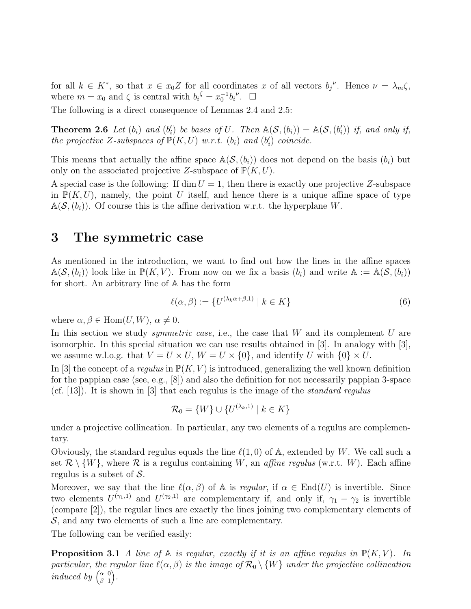for all  $k \in K^*$ , so that  $x \in x_0 Z$  for all coordinates x of all vectors  $b_j^{\nu}$ . Hence  $\nu = \lambda_m \zeta$ , where  $m = x_0$  and  $\zeta$  is central with  $b_i^{\zeta} = x_0^{-1}b_i^{\nu}$ .  $\Box$ 

The following is a direct consequence of Lemmas 2.4 and 2.5:

**Theorem 2.6** Let  $(b_i)$  and  $(b'_i)$ (i) be bases of U. Then  $\mathbb{A}(\mathcal{S}, (b_i)) = \mathbb{A}(\mathcal{S}, (b_i')$  $'_{i})$ ) if, and only if, the projective Z-subspaces of  $\mathbb{P}(K, U)$  w.r.t.  $(b_i)$  and  $(b'_i)$  $'_{i}$ ) coincide.

This means that actually the affine space  $\mathbb{A}(\mathcal{S}, (b_i))$  does not depend on the basis  $(b_i)$  but only on the associated projective Z-subspace of  $\mathbb{P}(K, U)$ .

A special case is the following: If dim  $U = 1$ , then there is exactly one projective Z-subspace in  $\mathbb{P}(K, U)$ , namely, the point U itself, and hence there is a unique affine space of type  $\mathbb{A}(\mathcal{S}, (b_i))$ . Of course this is the affine derivation w.r.t. the hyperplane W.

#### 3 The symmetric case

As mentioned in the introduction, we want to find out how the lines in the affine spaces  $\mathbb{A}(\mathcal{S},(b_i))$  look like in  $\mathbb{P}(K,V)$ . From now on we fix a basis  $(b_i)$  and write  $\mathbb{A} := \mathbb{A}(\mathcal{S},(b_i))$ for short. An arbitrary line of A has the form

$$
\ell(\alpha, \beta) := \{ U^{(\lambda_k \alpha + \beta, 1)} \mid k \in K \}
$$
\n
$$
(6)
$$

where  $\alpha, \beta \in \text{Hom}(U, W), \alpha \neq 0.$ 

In this section we study *symmetric case*, i.e., the case that  $W$  and its complement  $U$  are isomorphic. In this special situation we can use results obtained in [3]. In analogy with [3], we assume w.l.o.g. that  $V = U \times U$ ,  $W = U \times \{0\}$ , and identify U with  $\{0\} \times U$ .

In [3] the concept of a *regulus* in  $\mathbb{P}(K, V)$  is introduced, generalizing the well known definition for the pappian case (see, e.g., [8]) and also the definition for not necessarily pappian 3-space (cf.  $[13]$ ). It is shown in  $[3]$  that each regulus is the image of the *standard regulus* 

$$
\mathcal{R}_0 = \{W\} \cup \{U^{(\lambda_k, 1)} \mid k \in K\}
$$

under a projective collineation. In particular, any two elements of a regulus are complementary.

Obviously, the standard regulus equals the line  $\ell(1,0)$  of A, extended by W. We call such a set  $\mathcal{R} \setminus \{W\}$ , where  $\mathcal{R}$  is a regulus containing W, an *affine regulus* (w.r.t. W). Each affine regulus is a subset of  $S$ .

Moreover, we say that the line  $\ell(\alpha, \beta)$  of A is *regular*, if  $\alpha \in End(U)$  is invertible. Since two elements  $U^{(\gamma_1,1)}$  and  $U^{(\gamma_2,1)}$  are complementary if, and only if,  $\gamma_1 - \gamma_2$  is invertible (compare [2]), the regular lines are exactly the lines joining two complementary elements of  $S$ , and any two elements of such a line are complementary.

The following can be verified easily:

**Proposition 3.1** A line of  $A$  is regular, exactly if it is an affine regulus in  $\mathbb{P}(K, V)$ . In particular, the regular line  $\ell(\alpha, \beta)$  is the image of  $\mathcal{R}_0 \setminus \{W\}$  under the projective collineation induced by  $\begin{pmatrix} \alpha & 0 \\ \beta & 1 \end{pmatrix}$  $\beta$  1  $\big).$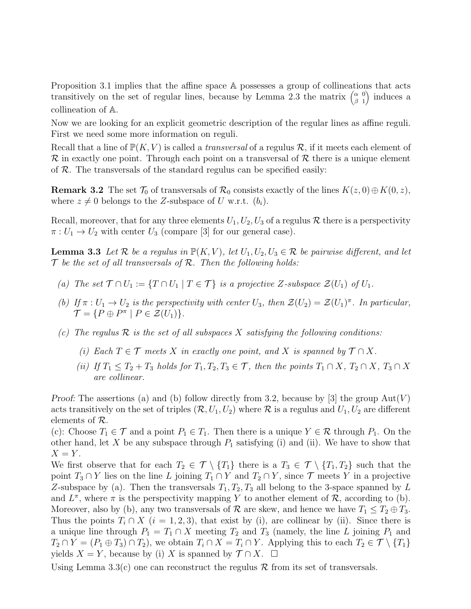Proposition 3.1 implies that the affine space A possesses a group of collineations that acts transitively on the set of regular lines, because by Lemma 2.3 the matrix  $\begin{pmatrix} \alpha & 0 \\ 0 & 1 \end{pmatrix}$  $\beta$  1 induces a collineation of A.

Now we are looking for an explicit geometric description of the regular lines as affine reguli. First we need some more information on reguli.

Recall that a line of  $\mathbb{P}(K, V)$  is called a *transversal* of a regulus R, if it meets each element of  $\mathcal R$  in exactly one point. Through each point on a transversal of  $\mathcal R$  there is a unique element of  $R$ . The transversals of the standard regulus can be specified easily:

**Remark 3.2** The set  $\mathcal{T}_0$  of transversals of  $\mathcal{R}_0$  consists exactly of the lines  $K(z, 0) \oplus K(0, z)$ , where  $z \neq 0$  belongs to the Z-subspace of U w.r.t.  $(b_i)$ .

Recall, moreover, that for any three elements  $U_1, U_2, U_3$  of a regulus R there is a perspectivity  $\pi: U_1 \to U_2$  with center  $U_3$  (compare [3] for our general case).

**Lemma 3.3** Let R be a regulus in  $\mathbb{P}(K, V)$ , let  $U_1, U_2, U_3 \in \mathbb{R}$  be pairwise different, and let  $T$  be the set of all transversals of  $R$ . Then the following holds:

- (a) The set  $\mathcal{T} \cap U_1 := \{T \cap U_1 \mid T \in \mathcal{T}\}\$ is a projective Z-subspace  $\mathcal{Z}(U_1)$  of  $U_1$ .
- (b) If  $\pi : U_1 \to U_2$  is the perspectivity with center  $U_3$ , then  $\mathcal{Z}(U_2) = \mathcal{Z}(U_1)^{\pi}$ . In particular,  $\mathcal{T} = \{ P \oplus P^{\pi} \mid P \in \mathcal{Z}(U_1) \}.$
- (c) The regulus  $\mathcal R$  is the set of all subspaces X satisfying the following conditions:
	- (i) Each  $T \in \mathcal{T}$  meets X in exactly one point, and X is spanned by  $\mathcal{T} \cap X$ .
	- (ii) If  $T_1 \leq T_2 + T_3$  holds for  $T_1, T_2, T_3 \in \mathcal{T}$ , then the points  $T_1 \cap X$ ,  $T_2 \cap X$ ,  $T_3 \cap X$ are collinear.

Proof: The assertions (a) and (b) follow directly from 3.2, because by [3] the group  $Aut(V)$ acts transitively on the set of triples  $(\mathcal{R}, U_1, U_2)$  where  $\mathcal{R}$  is a regulus and  $U_1, U_2$  are different elements of R.

(c): Choose  $T_1 \in \mathcal{T}$  and a point  $P_1 \in T_1$ . Then there is a unique  $Y \in \mathcal{R}$  through  $P_1$ . On the other hand, let X be any subspace through  $P_1$  satisfying (i) and (ii). We have to show that  $X = Y$ .

We first observe that for each  $T_2 \in \mathcal{T} \setminus \{T_1\}$  there is a  $T_3 \in \mathcal{T} \setminus \{T_1, T_2\}$  such that the point  $T_3 \cap Y$  lies on the line L joining  $T_1 \cap Y$  and  $T_2 \cap Y$ , since  $\mathcal T$  meets Y in a projective Z-subspace by (a). Then the transversals  $T_1, T_2, T_3$  all belong to the 3-space spanned by L and  $L^{\pi}$ , where  $\pi$  is the perspectivity mapping Y to another element of R, according to (b). Moreover, also by (b), any two transversals of R are skew, and hence we have  $T_1 \leq T_2 \oplus T_3$ . Thus the points  $T_i \cap X$  ( $i = 1, 2, 3$ ), that exist by (i), are collinear by (ii). Since there is a unique line through  $P_1 = T_1 \cap X$  meeting  $T_2$  and  $T_3$  (namely, the line L joining  $P_1$  and  $T_2 \cap Y = (P_1 \oplus T_3) \cap T_2$ , we obtain  $T_i \cap X = T_i \cap Y$ . Applying this to each  $T_2 \in \mathcal{T} \setminus \{T_1\}$ yields  $X = Y$ , because by (i) X is spanned by  $\mathcal{T} \cap X$ .  $\Box$ 

Using Lemma 3.3(c) one can reconstruct the regulus  $\mathcal R$  from its set of transversals.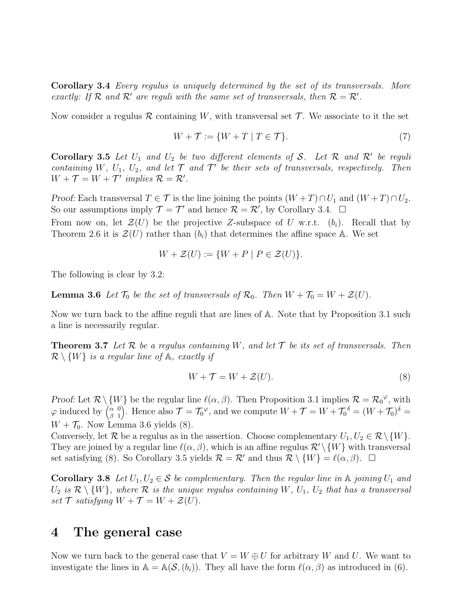Corollary 3.4 Every regulus is uniquely determined by the set of its transversals. More exactly: If  $\mathcal R$  and  $\mathcal R'$  are reguli with the same set of transversals, then  $\mathcal R = \mathcal R'$ .

Now consider a regulus R containing W, with transversal set  $\mathcal T$ . We associate to it the set

$$
W + \mathcal{T} := \{ W + T \mid T \in \mathcal{T} \}. \tag{7}
$$

Corollary 3.5 Let  $U_1$  and  $U_2$  be two different elements of S. Let R and R' be reguli containing W,  $U_1$ ,  $U_2$ , and let  $\mathcal T$  and  $\mathcal T'$  be their sets of transversals, respectively. Then  $W + \mathcal{T} = W + \mathcal{T}'$  implies  $\mathcal{R} = \mathcal{R}'$ .

Proof: Each transversal  $T \in \mathcal{T}$  is the line joining the points  $(W + T) \cap U_1$  and  $(W + T) \cap U_2$ . So our assumptions imply  $\mathcal{T} = \mathcal{T}'$  and hence  $\mathcal{R} = \mathcal{R}'$ , by Corollary 3.4.  $\Box$ 

From now on, let  $\mathcal{Z}(U)$  be the projective Z-subspace of U w.r.t.  $(b_i)$ . Recall that by Theorem 2.6 it is  $\mathcal{Z}(U)$  rather than  $(b_i)$  that determines the affine space A. We set

$$
W + \mathcal{Z}(U) := \{ W + P \mid P \in \mathcal{Z}(U) \}.
$$

The following is clear by 3.2:

**Lemma 3.6** Let  $\mathcal{T}_0$  be the set of transversals of  $\mathcal{R}_0$ . Then  $W + \mathcal{T}_0 = W + \mathcal{Z}(U)$ .

Now we turn back to the affine reguli that are lines of A. Note that by Proposition 3.1 such a line is necessarily regular.

**Theorem 3.7** Let R be a regulus containing W, and let T be its set of transversals. Then  $\mathcal{R}\setminus\{W\}$  is a regular line of  $\mathbb{A}$ , exactly if

$$
W + \mathcal{T} = W + \mathcal{Z}(U). \tag{8}
$$

Proof: Let  $\mathcal{R}\setminus\{W\}$  be the regular line  $\ell(\alpha,\beta)$ . Then Proposition 3.1 implies  $\mathcal{R}=\mathcal{R}_0^{\varphi}$ , with  $\varphi$  induced by  $\begin{pmatrix} \alpha & 0 \\ \beta & 1 \end{pmatrix}$  $\beta$  1 ). Hence also  $\mathcal{T} = \mathcal{T}_0^{\varphi}$ , and we compute  $W + \mathcal{T} = W + \mathcal{T}_0^{\delta} = (W + \mathcal{T}_0)^{\delta} =$  $W + \mathcal{T}_0$ . Now Lemma 3.6 yields (8).

Conversely, let  $\mathcal R$  be a regulus as in the assertion. Choose complementary  $U_1, U_2 \in \mathcal R \setminus \{W\}.$ They are joined by a regular line  $\ell(\alpha, \beta)$ , which is an affine regulus  $\mathcal{R}' \setminus \{W\}$  with transversal set satisfying (8). So Corollary 3.5 yields  $\mathcal{R} = \mathcal{R}'$  and thus  $\mathcal{R} \setminus \{W\} = \ell(\alpha, \beta)$ .  $\Box$ 

**Corollary 3.8** Let  $U_1, U_2 \in \mathcal{S}$  be complementary. Then the regular line in  $\mathbb{A}$  joining  $U_1$  and  $U_2$  is  $\mathcal{R} \setminus \{W\}$ , where  $\mathcal R$  is the unique regulus containing  $W$ ,  $U_1$ ,  $U_2$  that has a transversal set  $\mathcal T$  satisfying  $W + \mathcal T = W + \mathcal Z(U)$ .

#### 4 The general case

Now we turn back to the general case that  $V = W \oplus U$  for arbitrary W and U. We want to investigate the lines in  $A = A(S_i(b_i))$ . They all have the form  $\ell(\alpha, \beta)$  as introduced in (6).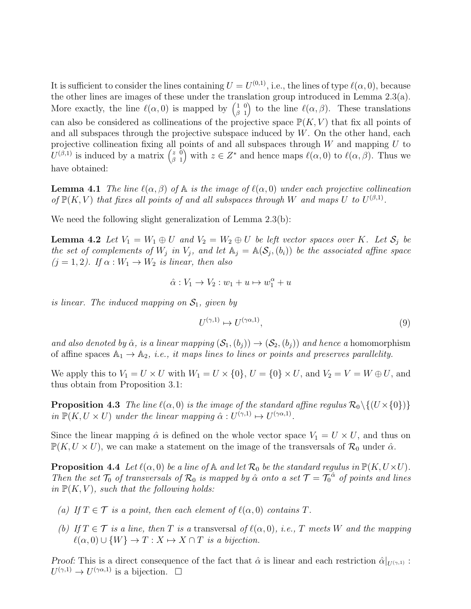It is sufficient to consider the lines containing  $U = U^{(0,1)}$ , i.e., the lines of type  $\ell(\alpha,0)$ , because the other lines are images of these under the translation group introduced in Lemma 2.3(a). More exactly, the line  $\ell(\alpha,0)$  is mapped by  $\begin{pmatrix} 1 & 0 \\ 0 & 1 \end{pmatrix}$  $\beta$  1 ) to the line  $\ell(\alpha, \beta)$ . These translations can also be considered as collineations of the projective space  $\mathbb{P}(K, V)$  that fix all points of and all subspaces through the projective subspace induced by  $W$ . On the other hand, each projective collineation fixing all points of and all subspaces through  $W$  and mapping  $U$  to  $U^{(\beta,1)}$  is induced by a matrix  $\begin{pmatrix} z & 0 \\ 0 & 1 \end{pmatrix}$  $\beta$  1 ) with  $z \in Z^*$  and hence maps  $\ell(\alpha,0)$  to  $\ell(\alpha,\beta)$ . Thus we have obtained:

**Lemma 4.1** The line  $\ell(\alpha, \beta)$  of  $\mathbb A$  is the image of  $\ell(\alpha, 0)$  under each projective collineation of  $\mathbb{P}(K, V)$  that fixes all points of and all subspaces through W and maps U to  $U^{(\beta,1)}$ .

We need the following slight generalization of Lemma 2.3(b):

**Lemma 4.2** Let  $V_1 = W_1 \oplus U$  and  $V_2 = W_2 \oplus U$  be left vector spaces over K. Let  $S_j$  be the set of complements of  $W_j$  in  $V_j$ , and let  $\mathbb{A}_j = \mathbb{A}(\mathcal{S}_j, (b_i))$  be the associated affine space  $(j = 1, 2)$ . If  $\alpha : W_1 \to W_2$  is linear, then also

$$
\hat{\alpha}: V_1 \to V_2: w_1 + u \mapsto w_1^{\alpha} + u
$$

is linear. The induced mapping on  $S_1$ , given by

$$
U^{(\gamma,1)} \mapsto U^{(\gamma\alpha,1)},\tag{9}
$$

and also denoted by  $\hat{\alpha}$ , is a linear mapping  $(\mathcal{S}_1,(b_i)) \to (\mathcal{S}_2,(b_i))$  and hence a homomorphism of affine spaces  $\mathbb{A}_1 \to \mathbb{A}_2$ , *i.e.*, *it maps lines to lines or points and preserves parallelity.* 

We apply this to  $V_1 = U \times U$  with  $W_1 = U \times \{0\}$ ,  $U = \{0\} \times U$ , and  $V_2 = V = W \oplus U$ , and thus obtain from Proposition 3.1:

**Proposition 4.3** The line  $\ell(\alpha, 0)$  is the image of the standard affine regulus  $\mathcal{R}_0 \setminus \{(U \times \{0\})\}$ in  $\mathbb{P}(K, U \times U)$  under the linear mapping  $\hat{\alpha}: U^{(\gamma,1)} \mapsto U^{(\gamma \alpha,1)}$ .

Since the linear mapping  $\hat{\alpha}$  is defined on the whole vector space  $V_1 = U \times U$ , and thus on  $\mathbb{P}(K, U \times U)$ , we can make a statement on the image of the transversals of  $\mathcal{R}_0$  under  $\hat{\alpha}$ .

**Proposition 4.4** Let  $\ell(\alpha, 0)$  be a line of  $\mathbb A$  and let  $\mathcal{R}_0$  be the standard regulus in  $\mathbb P(K, U \times U)$ . Then the set  $\mathcal{T}_0$  of transversals of  $\mathcal{R}_0$  is mapped by  $\hat{\alpha}$  onto a set  $\mathcal{T} = \mathcal{T}_0^{\hat{\alpha}}$  of points and lines in  $\mathbb{P}(K, V)$ , such that the following holds:

- (a) If  $T \in \mathcal{T}$  is a point, then each element of  $\ell(\alpha,0)$  contains T.
- (b) If  $T \in \mathcal{T}$  is a line, then T is a transversal of  $\ell(\alpha,0)$ , i.e., T meets W and the mapping  $\ell(\alpha, 0) \cup \{W\} \to T : X \mapsto X \cap T$  is a bijection.

Proof: This is a direct consequence of the fact that  $\hat{\alpha}$  is linear and each restriction  $\hat{\alpha}|_{U^{(\gamma,1)}}$ :  $U^{(\gamma,1)} \to U^{(\gamma \alpha,1)}$  is a bijection.  $\Box$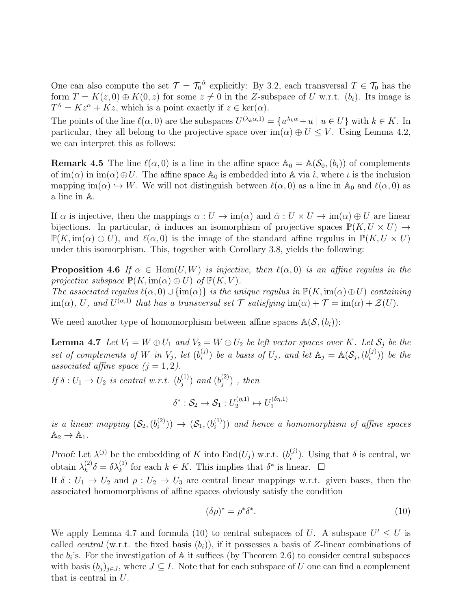One can also compute the set  $\mathcal{T} = \mathcal{T}_0^{\hat{\alpha}}$  explicitly: By 3.2, each transversal  $T \in \mathcal{T}_0$  has the form  $T = K(z, 0) \oplus K(0, z)$  for some  $z \neq 0$  in the Z-subspace of U w.r.t.  $(b_i)$ . Its image is  $T^{\hat{\alpha}} = Kz^{\alpha} + Kz$ , which is a point exactly if  $z \in \text{ker}(\alpha)$ .

The points of the line  $\ell(\alpha,0)$  are the subspaces  $U^{(\lambda_k \alpha,1)} = \{u^{\lambda_k \alpha} + u \mid u \in U\}$  with  $k \in K$ . In particular, they all belong to the projective space over  $\text{im}(\alpha) \oplus U \leq V$ . Using Lemma 4.2, we can interpret this as follows:

**Remark 4.5** The line  $\ell(\alpha, 0)$  is a line in the affine space  $\mathbb{A}_0 = \mathbb{A}(\mathcal{S}_0, (b_i))$  of complements of  $\text{im}(\alpha)$  in  $\text{im}(\alpha)\oplus U$ . The affine space  $\mathbb{A}_0$  is embedded into A via  $\hat{\iota}$ , where  $\iota$  is the inclusion mapping im( $\alpha$ )  $\hookrightarrow$  W. We will not distinguish between  $\ell(\alpha,0)$  as a line in  $\mathbb{A}_0$  and  $\ell(\alpha,0)$  as a line in A.

If  $\alpha$  is injective, then the mappings  $\alpha : U \to \text{im}(\alpha)$  and  $\hat{\alpha} : U \times U \to \text{im}(\alpha) \oplus U$  are linear bijections. In particular,  $\hat{\alpha}$  induces an isomorphism of projective spaces  $\mathbb{P}(K, U \times U) \rightarrow$  $\mathbb{P}(K, \text{im}(\alpha) \oplus U)$ , and  $\ell(\alpha, 0)$  is the image of the standard affine regulus in  $\mathbb{P}(K, U \times U)$ under this isomorphism. This, together with Corollary 3.8, yields the following:

**Proposition 4.6** If  $\alpha \in \text{Hom}(U, W)$  is injective, then  $\ell(\alpha, 0)$  is an affine regulus in the projective subspace  $\mathbb{P}(K, \text{im}(\alpha) \oplus U)$  of  $\mathbb{P}(K, V)$ .

The associated regulus  $\ell(\alpha, 0) \cup \{im(\alpha)\}\$ is the unique regulus in  $\mathbb{P}(K, im(\alpha) \oplus U)$  containing  $\text{im}(\alpha)$ , U, and  $U^{(\alpha,1)}$  that has a transversal set  $\mathcal T$  satisfying  $\text{im}(\alpha) + \mathcal T = \text{im}(\alpha) + \mathcal Z(U)$ .

We need another type of homomorphism between affine spaces  $\mathbb{A}(\mathcal{S},(b_i))$ :

**Lemma 4.7** Let  $V_1 = W \oplus U_1$  and  $V_2 = W \oplus U_2$  be left vector spaces over K. Let  $S_j$  be the set of complements of W in  $V_j$ , let  $(b_i^{(j)})$  $\hat{h}_i^{(j)}$ ) be a basis of  $U_j$ , and let  $\mathbb{A}_j = \mathbb{A}(\mathcal{S}_j, (b_i^{(j)})$  $\binom{(\mathcal{J})}{i}$  be the associated affine space  $(j = 1, 2)$ .

If  $\delta: U_1 \to U_2$  is central w.r.t.  $(b_j^{(1)})$  $j^{(1)}$ ) and  $(b_j^{(2)}$  $j^{(2)}$ ), then

$$
\delta^* : \mathcal{S}_2 \to \mathcal{S}_1 : U_2^{(\eta,1)} \mapsto U_1^{(\delta \eta,1)}
$$

is a linear mapping  $(S_2, (b_i^{(2)})$  $\hat{\mathcal{S}}_i^{(2)}$ ))  $\rightarrow (\mathcal{S}_1, (b_i^{(1)})$  $\binom{1}{i}$ ) and hence a homomorphism of affine spaces  $\mathbb{A}_2 \rightarrow \mathbb{A}_1$ .

Proof: Let  $\lambda^{(j)}$  be the embedding of K into End $(U_j)$  w.r.t.  $(b_i^{(j)})$  $i^{(j)}$ ). Using that  $\delta$  is central, we obtain  $\lambda_k^{(2)}$  $\lambda_k^{(2)}\delta = \delta\lambda_k^{(1)}$  for each  $k \in K$ . This implies that  $\delta^*$  is linear.  $\Box$ If  $\delta: U_1 \to U_2$  and  $\rho: U_2 \to U_3$  are central linear mappings w.r.t. given bases, then the associated homomorphisms of affine spaces obviously satisfy the condition

$$
(\delta \rho)^* = \rho^* \delta^*.
$$
 (10)

We apply Lemma 4.7 and formula (10) to central subspaces of U. A subspace  $U' \leq U$  is called *central* (w.r.t. the fixed basis  $(b_i)$ ), if it possesses a basis of Z-linear combinations of the  $b_i$ 's. For the investigation of  $A$  it suffices (by Theorem 2.6) to consider central subspaces with basis  $(b_j)_{j\in J}$ , where  $J\subseteq I$ . Note that for each subspace of U one can find a complement that is central in  $U$ .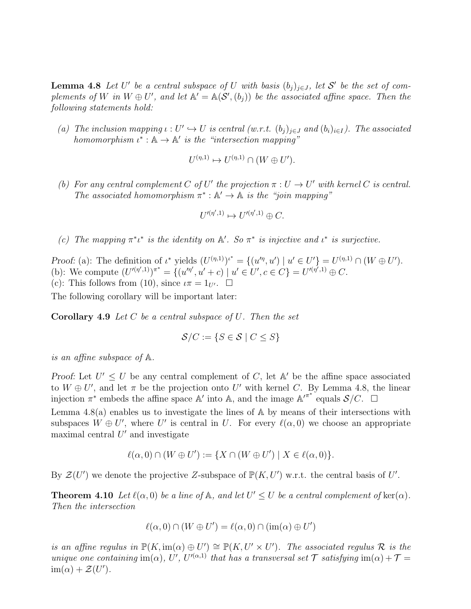**Lemma 4.8** Let U' be a central subspace of U with basis  $(b_j)_{j \in J}$ , let S' be the set of complements of W in  $W \oplus U'$ , and let  $\mathbb{A}' = \mathbb{A}(\mathcal{S}', (b_j))$  be the associated affine space. Then the following statements hold:

(a) The inclusion mapping  $\iota: U' \hookrightarrow U$  is central  $(w.r.t. (b_j)_{j\in J}$  and  $(b_i)_{i\in I}$ ). The associated homomorphism  $\iota^* : \mathbb{A} \to \mathbb{A}'$  is the "intersection mapping"

$$
U^{(\eta,1)} \mapsto U^{(\eta,1)} \cap (W \oplus U').
$$

(b) For any central complement C of U' the projection  $\pi : U \to U'$  with kernel C is central. The associated homomorphism  $\pi^*: A' \to A$  is the "join mapping"

$$
U'^{(\eta',1)} \mapsto U'^{(\eta',1)} \oplus C.
$$

(c) The mapping  $\pi^* \iota^*$  is the identity on  $\mathbb{A}'$ . So  $\pi^*$  is injective and  $\iota^*$  is surjective.

Proof: (a): The definition of  $\iota^*$  yields  $(U^{(\eta,1)})^{\iota^*} = \{(u'^\eta, u') \mid u' \in U'\} = U^{(\eta,1)} \cap (W \oplus U')$ . (b): We compute  $(U'^{(\eta',1)})^{\pi^*} = \{(u'^{\eta'}, u' + c) \mid u' \in U', c \in C\} = U'^{(\eta',1)} \oplus C.$ (c): This follows from (10), since  $\iota \pi = 1_{U'}$ .  $\Box$ 

The following corollary will be important later:

**Corollary 4.9** Let  $C$  be a central subspace of  $U$ . Then the set

$$
\mathcal{S}/C := \{ S \in \mathcal{S} \mid C \leq S \}
$$

is an affine subspace of A.

Proof: Let  $U' \leq U$  be any central complement of C, let A' be the affine space associated to  $W \oplus U'$ , and let  $\pi$  be the projection onto U' with kernel C. By Lemma 4.8, the linear injection  $\pi^*$  embeds the affine space A' into A, and the image  $\mathbb{A}^{\prime\pi^*}$  equals  $\mathcal{S}/C$ .  $\square$ 

Lemma 4.8(a) enables us to investigate the lines of A by means of their intersections with subspaces  $W \oplus U'$ , where U' is central in U. For every  $\ell(\alpha,0)$  we choose an appropriate maximal central  $U'$  and investigate

$$
\ell(\alpha,0) \cap (W \oplus U') := \{ X \cap (W \oplus U') \mid X \in \ell(\alpha,0) \}.
$$

By  $\mathcal{Z}(U')$  we denote the projective Z-subspace of  $\mathbb{P}(K, U')$  w.r.t. the central basis of U'.

**Theorem 4.10** Let  $\ell(\alpha, 0)$  be a line of  $\mathbb{A}$ , and let  $U' \leq U$  be a central complement of  $\ker(\alpha)$ . Then the intersection

$$
\ell(\alpha,0) \cap (W \oplus U') = \ell(\alpha,0) \cap (\text{im}(\alpha) \oplus U')
$$

is an affine regulus in  $\mathbb{P}(K,\mathrm{im}(\alpha)\oplus U') \cong \mathbb{P}(K,U'\times U')$ . The associated regulus  $\mathcal R$  is the unique one containing  $\text{im}(\alpha)$ , U', U'<sup>( $\alpha$ ,1)</sup> that has a transversal set  $\mathcal T$  satisfying  $\text{im}(\alpha) + \mathcal T =$  $\text{im}(\alpha) + \mathcal{Z}(U').$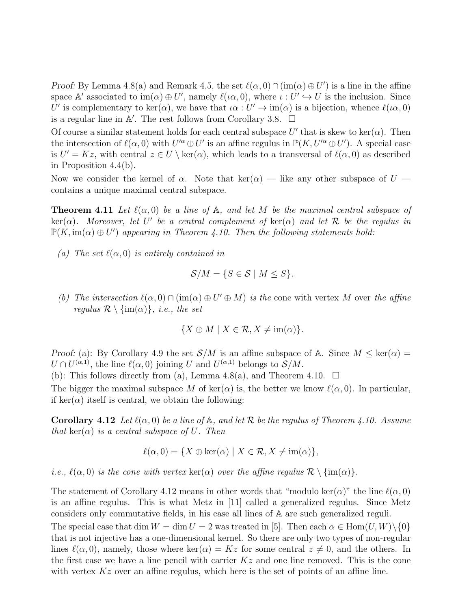Proof: By Lemma 4.8(a) and Remark 4.5, the set  $\ell(\alpha,0) \cap (\text{im}(\alpha) \oplus U')$  is a line in the affine space A' associated to  $\text{im}(\alpha) \oplus U'$ , namely  $\ell(\iota \alpha, 0)$ , where  $\iota: U' \hookrightarrow U$  is the inclusion. Since U' is complementary to ker( $\alpha$ ), we have that  $\iota \alpha : U' \to \text{im}(\alpha)$  is a bijection, whence  $\ell(\iota \alpha, 0)$ is a regular line in  $\mathbb{A}'$ . The rest follows from Corollary 3.8.  $\Box$ 

Of course a similar statement holds for each central subspace U' that is skew to ker( $\alpha$ ). Then the intersection of  $\ell(\alpha,0)$  with  $U'^{\alpha} \oplus U'$  is an affine regulus in  $\mathbb{P}(K, U'^{\alpha} \oplus U')$ . A special case is  $U' = Kz$ , with central  $z \in U \setminus \text{ker}(\alpha)$ , which leads to a transversal of  $\ell(\alpha, 0)$  as described in Proposition 4.4(b).

Now we consider the kernel of  $\alpha$ . Note that ker $(\alpha)$  — like any other subspace of  $U$  contains a unique maximal central subspace.

**Theorem 4.11** Let  $\ell(\alpha, 0)$  be a line of A, and let M be the maximal central subspace of  $\ker(\alpha)$ . Moreover, let U' be a central complement of  $\ker(\alpha)$  and let R be the regulus in  $\mathbb{P}(K, \text{im}(\alpha) \oplus U')$  appearing in Theorem 4.10. Then the following statements hold:

(a) The set  $\ell(\alpha,0)$  is entirely contained in

$$
\mathcal{S}/M = \{ S \in \mathcal{S} \mid M \leq S \}.
$$

(b) The intersection  $\ell(\alpha,0) \cap (\text{im}(\alpha) \oplus U' \oplus M)$  is the cone with vertex M over the affine regulus  $\mathcal{R} \setminus \{\text{im}(\alpha)\}\$ , i.e., the set

$$
\{X \oplus M \mid X \in \mathcal{R}, X \neq \text{im}(\alpha)\}.
$$

Proof: (a): By Corollary 4.9 the set  $S/M$  is an affine subspace of A. Since  $M \leq \text{ker}(\alpha) =$  $U \cap U^{(\alpha,1)}$ , the line  $\ell(\alpha,0)$  joining U and  $U^{(\alpha,1)}$  belongs to  $\mathcal{S}/M$ .

(b): This follows directly from (a), Lemma 4.8(a), and Theorem 4.10.  $\Box$ 

The bigger the maximal subspace M of ker( $\alpha$ ) is, the better we know  $\ell(\alpha, 0)$ . In particular, if ker( $\alpha$ ) itself is central, we obtain the following:

**Corollary 4.12** Let  $\ell(\alpha, 0)$  be a line of A, and let R be the regulus of Theorem 4.10. Assume that ker( $\alpha$ ) is a central subspace of U. Then

$$
\ell(\alpha,0) = \{ X \oplus \ker(\alpha) \mid X \in \mathcal{R}, X \neq \text{im}(\alpha) \},
$$

*i.e.*,  $\ell(\alpha, 0)$  is the cone with vertex ker( $\alpha$ ) over the affine regulus  $\mathcal{R} \setminus \{\text{im}(\alpha)\}.$ 

The statement of Corollary 4.12 means in other words that "modulo ker( $\alpha$ )" the line  $\ell(\alpha,0)$ is an affine regulus. This is what Metz in [11] called a generalized regulus. Since Metz considers only commutative fields, in his case all lines of A are such generalized reguli.

The special case that dim  $W = \dim U = 2$  was treated in [5]. Then each  $\alpha \in \text{Hom}(U, W) \setminus \{0\}$ that is not injective has a one-dimensional kernel. So there are only two types of non-regular lines  $\ell(\alpha, 0)$ , namely, those where ker $(\alpha) = Kz$  for some central  $z \neq 0$ , and the others. In the first case we have a line pencil with carrier  $Kz$  and one line removed. This is the cone with vertex  $Kz$  over an affine regulus, which here is the set of points of an affine line.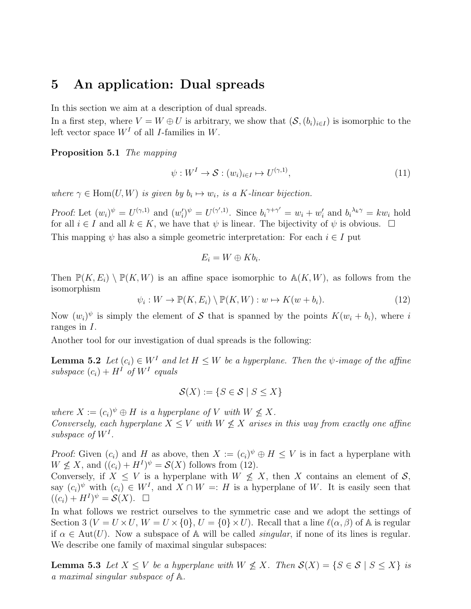### 5 An application: Dual spreads

In this section we aim at a description of dual spreads.

In a first step, where  $V = W \oplus U$  is arbitrary, we show that  $(\mathcal{S}, (b_i)_{i \in I})$  is isomorphic to the left vector space  $W<sup>I</sup>$  of all *I*-families in W.

Proposition 5.1 The mapping

$$
\psi: W^I \to \mathcal{S}: (w_i)_{i \in I} \mapsto U^{(\gamma, 1)}, \tag{11}
$$

where  $\gamma \in \text{Hom}(U, W)$  is given by  $b_i \mapsto w_i$ , is a K-linear bijection.

Proof: Let  $(w_i)^{\psi} = U^{(\gamma,1)}$  and  $(w_i^{\gamma})$  $y'_i^{\gamma} = U^{(\gamma',1)}$ . Since  $b_i^{\gamma+\gamma'} = w_i + w'_i$  $a'_i$  and  $b_i^{\lambda_k \gamma} = k w_i$  hold for all  $i \in I$  and all  $k \in K$ , we have that  $\psi$  is linear. The bijectivity of  $\psi$  is obvious.  $\Box$ This mapping  $\psi$  has also a simple geometric interpretation: For each  $i \in I$  put

$$
E_i = W \oplus Kb_i.
$$

Then  $\mathbb{P}(K, E_i) \setminus \mathbb{P}(K, W)$  is an affine space isomorphic to  $\mathbb{A}(K, W)$ , as follows from the isomorphism

 $\psi_i: W \to \mathbb{P}(K, E_i) \setminus \mathbb{P}(K, W) : w \mapsto K(w + b_i).$  (12)

Now  $(w_i)^{\psi}$  is simply the element of S that is spanned by the points  $K(w_i + b_i)$ , where i ranges in I.

Another tool for our investigation of dual spreads is the following:

**Lemma 5.2** Let  $(c_i) \in W^I$  and let  $H \leq W$  be a hyperplane. Then the  $\psi$ -image of the affine subspace  $(c_i) + H^I$  of  $W^I$  equals

$$
\mathcal{S}(X) := \{ S \in \mathcal{S} \mid S \le X \}
$$

where  $X := (c_i)^{\psi} \oplus H$  is a hyperplane of V with  $W \nleq X$ . Conversely, each hyperplane  $X \leq V$  with  $W \not\leq X$  arises in this way from exactly one affine subspace of  $W^I$ .

Proof: Given  $(c_i)$  and H as above, then  $X := (c_i)^{\psi} \oplus H \leq V$  is in fact a hyperplane with  $W \not\leq X$ , and  $((c_i) + H^I)^{\psi} = \mathcal{S}(X)$  follows from (12).

Conversely, if  $X \leq V$  is a hyperplane with  $W \nleq X$ , then X contains an element of S, say  $(c_i)^{\psi}$  with  $(c_i) \in W^I$ , and  $X \cap W =: H$  is a hyperplane of W. It is easily seen that  $((c_i) + H^I)^{\psi} = \mathcal{S}(X).$ 

In what follows we restrict ourselves to the symmetric case and we adopt the settings of Section 3 ( $V = U \times U$ ,  $W = U \times \{0\}$ ,  $U = \{0\} \times U$ ). Recall that a line  $\ell(\alpha, \beta)$  of A is regular if  $\alpha \in \text{Aut}(U)$ . Now a subspace of A will be called *singular*, if none of its lines is regular. We describe one family of maximal singular subspaces:

**Lemma 5.3** Let  $X \leq V$  be a hyperplane with  $W \nleq X$ . Then  $\mathcal{S}(X) = \{S \in \mathcal{S} \mid S \leq X\}$  is a maximal singular subspace of A.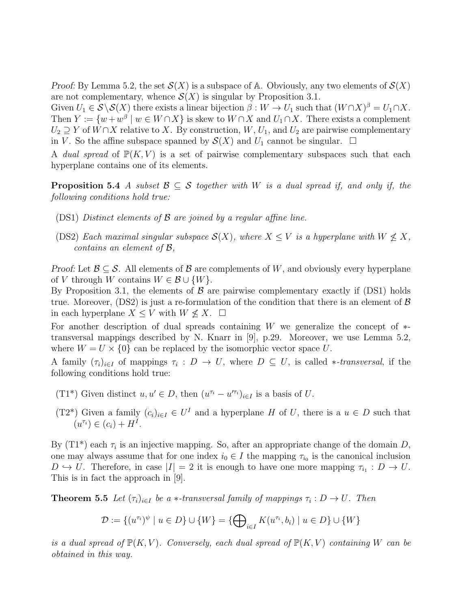Proof: By Lemma 5.2, the set  $\mathcal{S}(X)$  is a subspace of A. Obviously, any two elements of  $\mathcal{S}(X)$ are not complementary, whence  $\mathcal{S}(X)$  is singular by Proposition 3.1.

Given  $U_1 \in \mathcal{S} \backslash \mathcal{S}(X)$  there exists a linear bijection  $\beta : W \to U_1$  such that  $(W \cap X)^{\beta} = U_1 \cap X$ . Then  $Y := \{w + w^{\beta} \mid w \in W \cap X\}$  is skew to  $W \cap X$  and  $U_1 \cap X$ . There exists a complement  $U_2 \supseteq Y$  of  $W \cap X$  relative to X. By construction,  $W, U_1$ , and  $U_2$  are pairwise complementary in V. So the affine subspace spanned by  $\mathcal{S}(X)$  and  $U_1$  cannot be singular.  $\Box$ 

A dual spread of  $\mathbb{P}(K, V)$  is a set of pairwise complementary subspaces such that each hyperplane contains one of its elements.

**Proposition 5.4** A subset  $\mathcal{B} \subseteq \mathcal{S}$  together with W is a dual spread if, and only if, the following conditions hold true:

- (DS1) Distinct elements of B are joined by a regular affine line.
- (DS2) Each maximal singular subspace  $\mathcal{S}(X)$ , where  $X \leq V$  is a hyperplane with  $W \nleq X$ , contains an element of B,

*Proof:* Let  $\mathcal{B} \subseteq \mathcal{S}$ . All elements of  $\mathcal{B}$  are complements of W, and obviously every hyperplane of V through W contains  $W \in \mathcal{B} \cup \{W\}.$ 

By Proposition 3.1, the elements of  $\beta$  are pairwise complementary exactly if (DS1) holds true. Moreover,  $(DS2)$  is just a re-formulation of the condition that there is an element of  $\beta$ in each hyperplane  $X \leq V$  with  $W \nleq X$ .  $\Box$ 

For another description of dual spreads containing W we generalize the concept of  $*$ transversal mappings described by N. Knarr in [9], p.29. Moreover, we use Lemma 5.2, where  $W = U \times \{0\}$  can be replaced by the isomorphic vector space U.

A family  $(\tau_i)_{i\in I}$  of mappings  $\tau_i: D \to U$ , where  $D \subseteq U$ , is called \*-transversal, if the following conditions hold true:

- (T1<sup>\*</sup>) Given distinct  $u, u' \in D$ , then  $(u^{\tau_i} u'^{\tau_i})_{i \in I}$  is a basis of U.
- (T2<sup>\*</sup>) Given a family  $(c_i)_{i\in I} \in U^I$  and a hyperplane H of U, there is a  $u \in D$  such that  $(u^{\tau_i}) \in (c_i) + H^I.$

By  $(T1^*)$  each  $\tau_i$  is an injective mapping. So, after an appropriate change of the domain D, one may always assume that for one index  $i_0 \in I$  the mapping  $\tau_{i_0}$  is the canonical inclusion  $D \hookrightarrow U$ . Therefore, in case  $|I| = 2$  it is enough to have one more mapping  $\tau_{i_1} : D \to U$ . This is in fact the approach in [9].

**Theorem 5.5** Let  $(\tau_i)_{i \in I}$  be a  $*$ -transversal family of mappings  $\tau_i : D \to U$ . Then

$$
\mathcal{D} := \{ (u^{\tau_i})^\psi \mid u \in D \} \cup \{W\} = \{ \bigoplus\nolimits_{i \in I} K(u^{\tau_i}, b_i) \mid u \in D \} \cup \{W\}
$$

is a dual spread of  $\mathbb{P}(K, V)$ . Conversely, each dual spread of  $\mathbb{P}(K, V)$  containing W can be obtained in this way.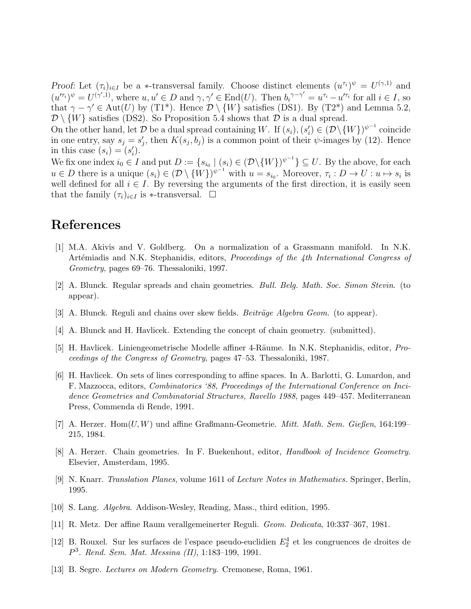Proof: Let  $(\tau_i)_{i\in I}$  be a \*-transversal family. Choose distinct elements  $(u^{\tau_i})^{\psi} = U^{(\gamma,1)}$  and  $(u'^{\tau_i})^{\psi} = U^{(\gamma',1)}$ , where  $u, u' \in D$  and  $\gamma, \gamma' \in \text{End}(U)$ . Then  $b_i^{\gamma-\gamma'} = u^{\tau_i} - u'^{\tau_i}$  for all  $i \in I$ , so that  $\gamma - \gamma' \in \text{Aut}(U)$  by (T1<sup>\*</sup>). Hence  $\mathcal{D} \setminus \{W\}$  satisfies (DS1). By (T2<sup>\*</sup>) and Lemma 5.2,  $\mathcal{D}\setminus\{W\}$  satisfies (DS2). So Proposition 5.4 shows that  $\mathcal D$  is a dual spread.

On the other hand, let  $\mathcal D$  be a dual spread containing W. If  $(s_i)$ ,  $(s_i)$  $\mathcal{U}_i \in (\mathcal{D} \setminus \{W\})^{\psi^{-1}}$  coincide in one entry, say  $s_j = s'_j$ ', then  $K(s_j, b_j)$  is a common point of their  $\psi$ -images by (12). Hence in this case  $(s_i) = (s'_i)$  $'_{i}).$ 

We fix one index  $i_0 \in I$  and put  $D := \{s_{i_0} \mid (s_i) \in (D \setminus \{W\})^{\psi^{-1}}\} \subseteq U$ . By the above, for each  $u \in D$  there is a unique  $(s_i) \in (\mathcal{D} \setminus \{W\})^{\psi^{-1}}$  with  $u = s_{i_0}$ . Moreover,  $\tau_i : D \to U : u \mapsto s_i$  is well defined for all  $i \in I$ . By reversing the arguments of the first direction, it is easily seen that the family  $(\tau_i)_{i\in I}$  is \*-transversal.  $\Box$ 

# References

- [1] M.A. Akivis and V. Goldberg. On a normalization of a Grassmann manifold. In N.K. Artémiadis and N.K. Stephanidis, editors, *Proceedings of the 4th International Congress of Geometry*, pages 69–76. Thessaloniki, 1997.
- [2] A. Blunck. Regular spreads and chain geometries. *Bull. Belg. Math. Soc. Simon Stevin*. (to appear).
- [3] A. Blunck. Reguli and chains over skew fields. *Beiträge Algebra Geom.* (to appear).
- [4] A. Blunck and H. Havlicek. Extending the concept of chain geometry. (submitted).
- [5] H. Havlicek. Liniengeometrische Modelle affiner 4-R¨aume. In N.K. Stephanidis, editor, *Proceedings of the Congress of Geometry*, pages 47–53. Thessaloniki, 1987.
- [6] H. Havlicek. On sets of lines corresponding to affine spaces. In A. Barlotti, G. Lunardon, and F. Mazzocca, editors, *Combinatorics '88, Proceedings of the International Conference on Incidence Geometries and Combinatorial Structures, Ravello 1988*, pages 449–457. Mediterranean Press, Commenda di Rende, 1991.
- [7] A. Herzer. Hom(U, W) und affine Graßmann-Geometrie. *Mitt. Math. Sem. Gießen*, 164:199– 215, 1984.
- [8] A. Herzer. Chain geometries. In F. Buekenhout, editor, *Handbook of Incidence Geometry*. Elsevier, Amsterdam, 1995.
- [9] N. Knarr. *Translation Planes*, volume 1611 of *Lecture Notes in Mathematics*. Springer, Berlin, 1995.
- [10] S. Lang. *Algebra*. Addison-Wesley, Reading, Mass., third edition, 1995.
- [11] R. Metz. Der affine Raum verallgemeinerter Reguli. *Geom. Dedicata*, 10:337–367, 1981.
- [12] B. Rouxel. Sur les surfaces de l'espace pseudo-euclidien  $E_2^4$  et les congruences de droites de P 3 . *Rend. Sem. Mat. Messina (II)*, 1:183–199, 1991.
- [13] B. Segre. *Lectures on Modern Geometry*. Cremonese, Roma, 1961.